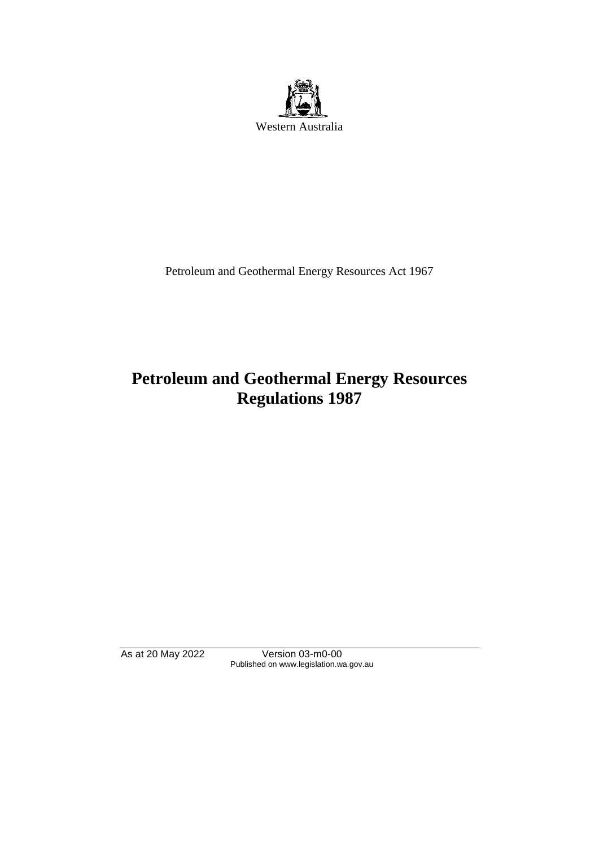

Petroleum and Geothermal Energy Resources Act 1967

# **Petroleum and Geothermal Energy Resources Regulations 1987**

As at 20 May 2022 Version 03-m0-00 Published on www.legislation.wa.gov.au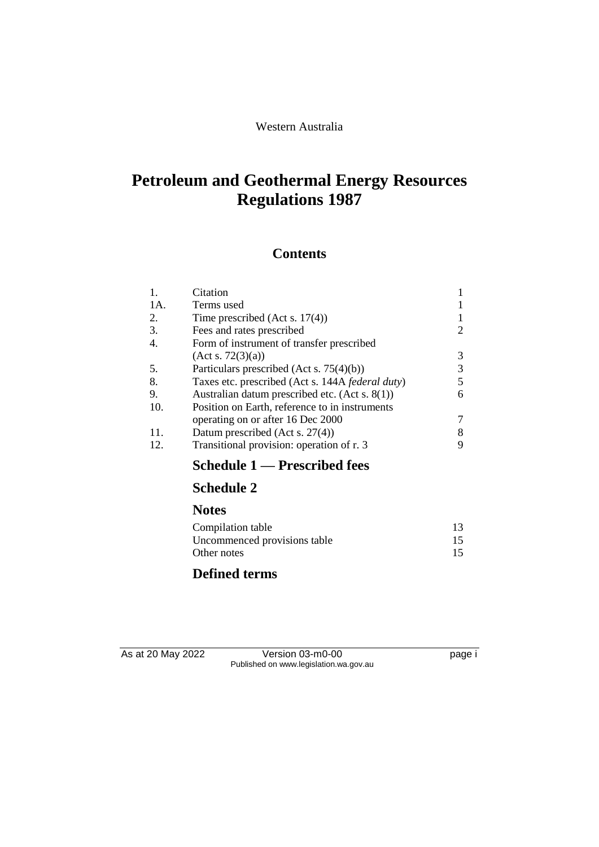# **Petroleum and Geothermal Energy Resources Regulations 1987**

# **Contents**

| 1.<br>1A. | Citation<br>Terms used                            |   |
|-----------|---------------------------------------------------|---|
| 2.        | Time prescribed (Act s. $17(4)$ )                 |   |
| 3.        | Fees and rates prescribed                         |   |
| 4.        | Form of instrument of transfer prescribed         |   |
|           | (Acts. 72(3)(a))                                  | 3 |
| 5.        | Particulars prescribed (Act s. $75(4)(b)$ )       |   |
| 8.        | Taxes etc. prescribed (Act s. 144A federal duty)  |   |
| 9.        | Australian datum prescribed etc. (Act s. $8(1)$ ) | 6 |
| 10.       | Position on Earth, reference to in instruments    |   |
|           | operating on or after 16 Dec 2000                 |   |
| 11.       | Datum prescribed (Act s. 27(4))                   |   |
| 12.       | Transitional provision: operation of r. 3         |   |
|           | Schedule 1 — Prescribed fees                      |   |

# **Schedule 2**

### **Notes**

| Compilation table            | 13 |
|------------------------------|----|
| Uncommenced provisions table | 15 |
| Other notes                  | 15 |

# **Defined terms**

As at 20 May 2022 Version 03-m0-00 Page i Published on www.legislation.wa.gov.au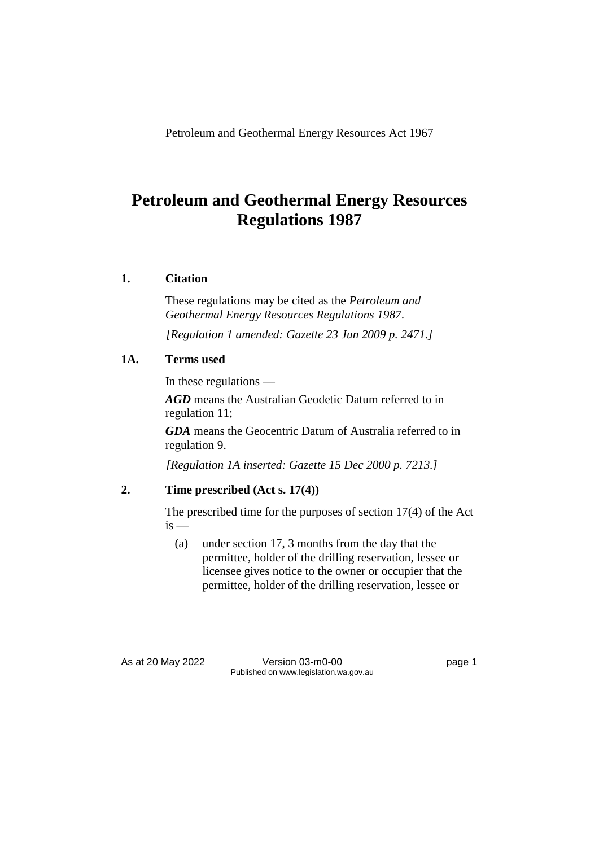Petroleum and Geothermal Energy Resources Act 1967

# **Petroleum and Geothermal Energy Resources Regulations 1987**

## **1. Citation**

These regulations may be cited as the *Petroleum and Geothermal Energy Resources Regulations 1987*.

*[Regulation 1 amended: Gazette 23 Jun 2009 p. 2471.]*

## **1A. Terms used**

In these regulations —

*AGD* means the Australian Geodetic Datum referred to in regulation 11;

*GDA* means the Geocentric Datum of Australia referred to in regulation 9.

*[Regulation 1A inserted: Gazette 15 Dec 2000 p. 7213.]*

# **2. Time prescribed (Act s. 17(4))**

The prescribed time for the purposes of section 17(4) of the Act  $is -$ 

(a) under section 17, 3 months from the day that the permittee, holder of the drilling reservation, lessee or licensee gives notice to the owner or occupier that the permittee, holder of the drilling reservation, lessee or

As at 20 May 2022 Version 03-m0-00 page 1 Published on www.legislation.wa.gov.au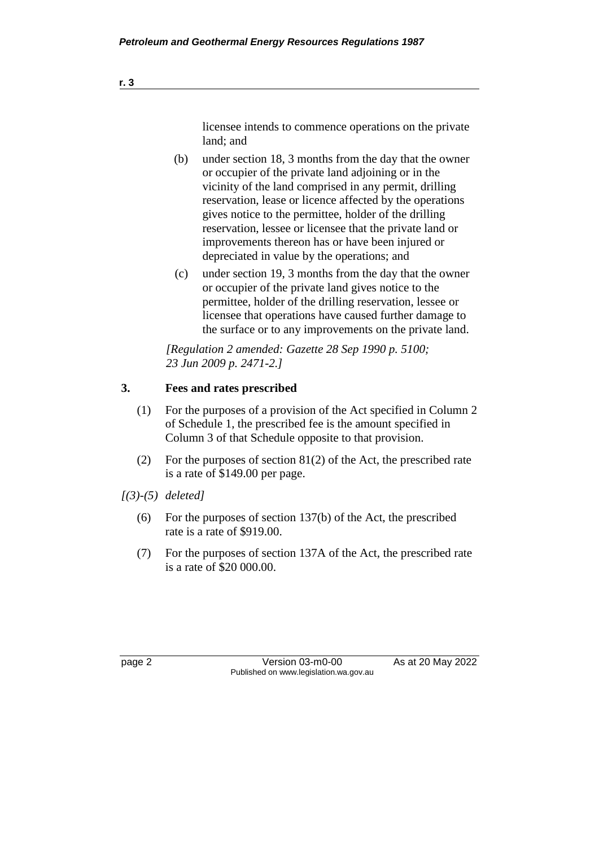licensee intends to commence operations on the private land; and

- (b) under section 18, 3 months from the day that the owner or occupier of the private land adjoining or in the vicinity of the land comprised in any permit, drilling reservation, lease or licence affected by the operations gives notice to the permittee, holder of the drilling reservation, lessee or licensee that the private land or improvements thereon has or have been injured or depreciated in value by the operations; and
- (c) under section 19, 3 months from the day that the owner or occupier of the private land gives notice to the permittee, holder of the drilling reservation, lessee or licensee that operations have caused further damage to the surface or to any improvements on the private land.

*[Regulation 2 amended: Gazette 28 Sep 1990 p. 5100; 23 Jun 2009 p. 2471-2.]* 

### **3. Fees and rates prescribed**

- (1) For the purposes of a provision of the Act specified in Column 2 of Schedule 1, the prescribed fee is the amount specified in Column 3 of that Schedule opposite to that provision.
- (2) For the purposes of section  $81(2)$  of the Act, the prescribed rate is a rate of \$149.00 per page.
- *[(3)-(5) deleted]*
	- (6) For the purposes of section 137(b) of the Act, the prescribed rate is a rate of \$919.00.
	- (7) For the purposes of section 137A of the Act, the prescribed rate is a rate of \$20 000.00.

page 2 Version 03-m0-00 As at 20 May 2022 Published on www.legislation.wa.gov.au

**r. 3**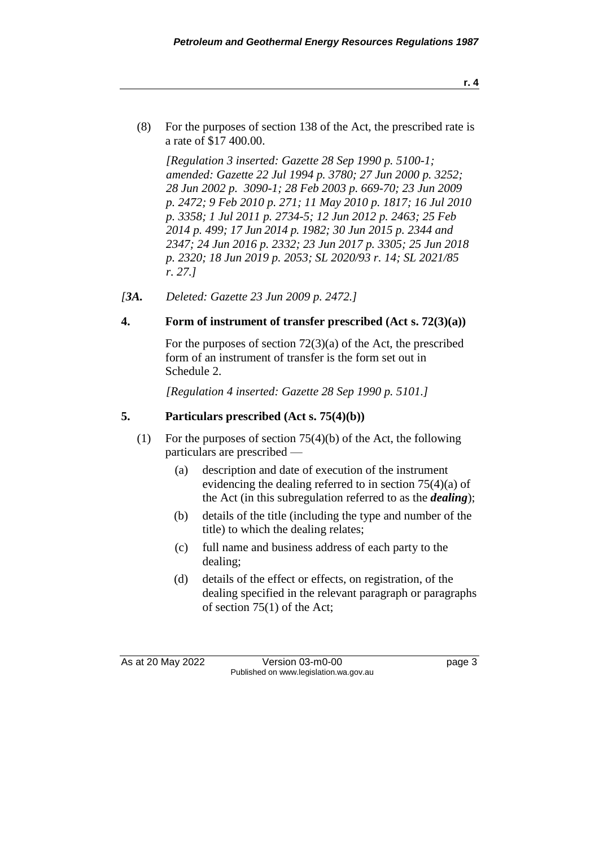(8) For the purposes of section 138 of the Act, the prescribed rate is a rate of \$17 400.00.

*[Regulation 3 inserted: Gazette 28 Sep 1990 p. 5100-1; amended: Gazette 22 Jul 1994 p. 3780; 27 Jun 2000 p. 3252; 28 Jun 2002 p. 3090-1; 28 Feb 2003 p. 669-70; 23 Jun 2009 p. 2472; 9 Feb 2010 p. 271; 11 May 2010 p. 1817; 16 Jul 2010 p. 3358; 1 Jul 2011 p. 2734-5; 12 Jun 2012 p. 2463; 25 Feb 2014 p. 499; 17 Jun 2014 p. 1982; 30 Jun 2015 p. 2344 and 2347; 24 Jun 2016 p. 2332; 23 Jun 2017 p. 3305; 25 Jun 2018 p. 2320; 18 Jun 2019 p. 2053; SL 2020/93 r. 14; SL 2021/85 r. 27.]* 

*[3A. Deleted: Gazette 23 Jun 2009 p. 2472.]*

### **4. Form of instrument of transfer prescribed (Act s. 72(3)(a))**

For the purposes of section 72(3)(a) of the Act, the prescribed form of an instrument of transfer is the form set out in Schedule 2.

*[Regulation 4 inserted: Gazette 28 Sep 1990 p. 5101.]* 

## **5. Particulars prescribed (Act s. 75(4)(b))**

- (1) For the purposes of section 75(4)(b) of the Act, the following particulars are prescribed —
	- (a) description and date of execution of the instrument evidencing the dealing referred to in section 75(4)(a) of the Act (in this subregulation referred to as the *dealing*);
	- (b) details of the title (including the type and number of the title) to which the dealing relates;
	- (c) full name and business address of each party to the dealing;
	- (d) details of the effect or effects, on registration, of the dealing specified in the relevant paragraph or paragraphs of section 75(1) of the Act;

As at 20 May 2022 Version 03-m0-00 Page 3 Published on www.legislation.wa.gov.au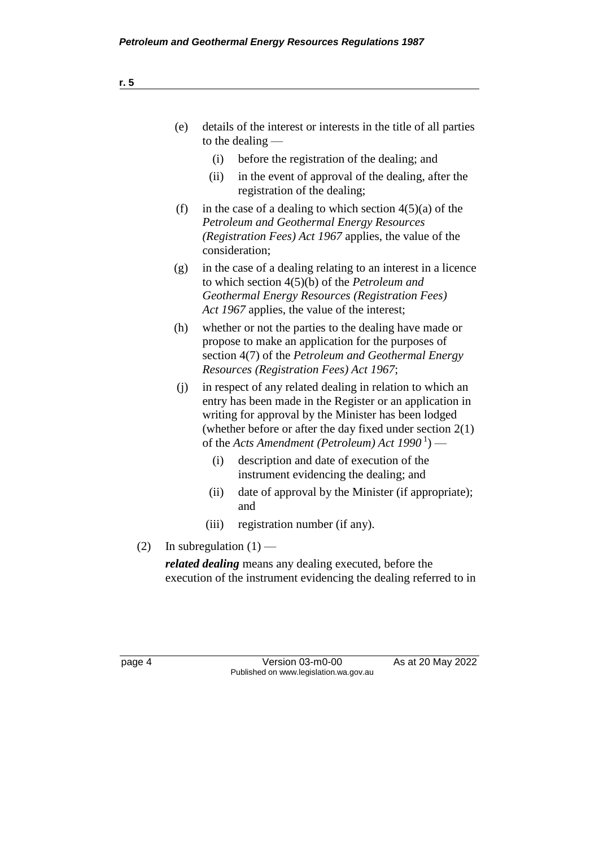| (e) | details of the interest or interests in the title of all parties<br>to the dealing $-$                                                                                                                                                                                                               |  |  |
|-----|------------------------------------------------------------------------------------------------------------------------------------------------------------------------------------------------------------------------------------------------------------------------------------------------------|--|--|
|     | before the registration of the dealing; and<br>(i)                                                                                                                                                                                                                                                   |  |  |
|     | in the event of approval of the dealing, after the<br>(ii)<br>registration of the dealing;                                                                                                                                                                                                           |  |  |
| (f) | in the case of a dealing to which section $4(5)(a)$ of the<br>Petroleum and Geothermal Energy Resources<br>(Registration Fees) Act 1967 applies, the value of the<br>consideration;                                                                                                                  |  |  |
| (g) | in the case of a dealing relating to an interest in a licence<br>to which section $4(5)(b)$ of the <i>Petroleum and</i><br><b>Geothermal Energy Resources (Registration Fees)</b><br>Act 1967 applies, the value of the interest;                                                                    |  |  |
| (h) | whether or not the parties to the dealing have made or<br>propose to make an application for the purposes of<br>section 4(7) of the <i>Petroleum and Geothermal Energy</i><br>Resources (Registration Fees) Act 1967;                                                                                |  |  |
| (i) | in respect of any related dealing in relation to which an<br>entry has been made in the Register or an application in<br>writing for approval by the Minister has been lodged<br>(whether before or after the day fixed under section $2(1)$ )<br>of the Acts Amendment (Petroleum) Act $1990^1$ ) — |  |  |
|     | description and date of execution of the<br>(i)                                                                                                                                                                                                                                                      |  |  |

- (i) description and date of execution of the instrument evidencing the dealing; and
- (ii) date of approval by the Minister (if appropriate); and
- (iii) registration number (if any).
- (2) In subregulation  $(1)$  —

*related dealing* means any dealing executed, before the execution of the instrument evidencing the dealing referred to in

page 4 Version 03-m0-00 As at 20 May 2022 Published on www.legislation.wa.gov.au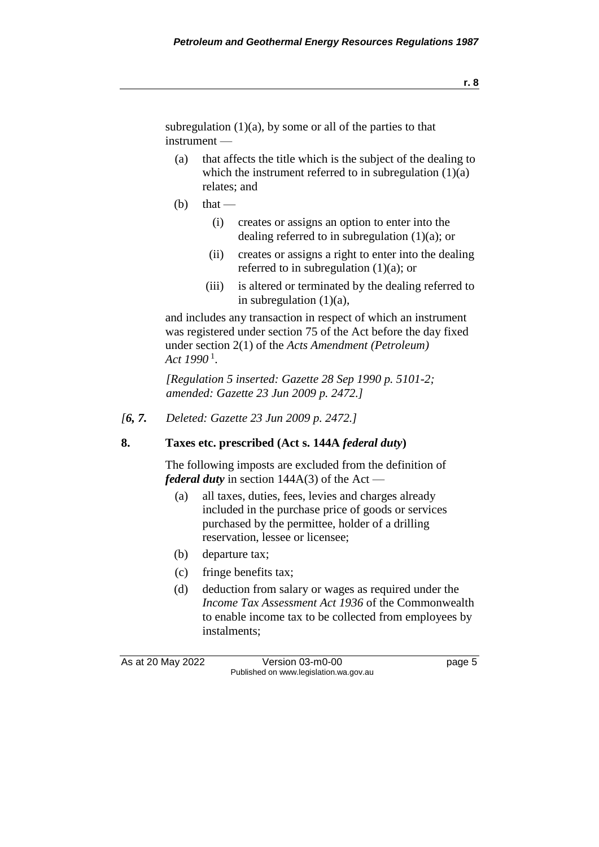subregulation  $(1)(a)$ , by some or all of the parties to that instrument —

- (a) that affects the title which is the subject of the dealing to which the instrument referred to in subregulation  $(1)(a)$ relates; and
- $(b)$  that
	- (i) creates or assigns an option to enter into the dealing referred to in subregulation  $(1)(a)$ ; or
	- (ii) creates or assigns a right to enter into the dealing referred to in subregulation  $(1)(a)$ ; or
	- (iii) is altered or terminated by the dealing referred to in subregulation  $(1)(a)$ ,

and includes any transaction in respect of which an instrument was registered under section 75 of the Act before the day fixed under section 2(1) of the *Acts Amendment (Petroleum) Act 1990* <sup>1</sup> .

*[Regulation 5 inserted: Gazette 28 Sep 1990 p. 5101-2; amended: Gazette 23 Jun 2009 p. 2472.]* 

*[6, 7. Deleted: Gazette 23 Jun 2009 p. 2472.]*

### **8. Taxes etc. prescribed (Act s. 144A** *federal duty***)**

The following imposts are excluded from the definition of *federal duty* in section 144A(3) of the Act —

- (a) all taxes, duties, fees, levies and charges already included in the purchase price of goods or services purchased by the permittee, holder of a drilling reservation, lessee or licensee;
- (b) departure tax;
- (c) fringe benefits tax;
- (d) deduction from salary or wages as required under the *Income Tax Assessment Act 1936* of the Commonwealth to enable income tax to be collected from employees by instalments;

As at 20 May 2022 Version 03-m0-00 Page 5 Published on www.legislation.wa.gov.au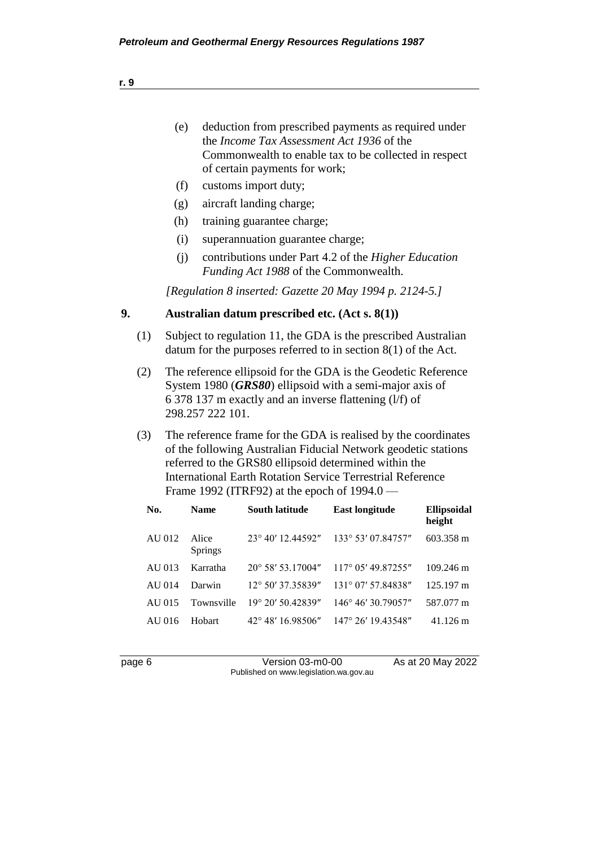- (e) deduction from prescribed payments as required under the *Income Tax Assessment Act 1936* of the Commonwealth to enable tax to be collected in respect of certain payments for work;
- (f) customs import duty;
- (g) aircraft landing charge;
- (h) training guarantee charge;
- (i) superannuation guarantee charge;
- (j) contributions under Part 4.2 of the *Higher Education Funding Act 1988* of the Commonwealth.

*[Regulation 8 inserted: Gazette 20 May 1994 p. 2124-5.]* 

#### **9. Australian datum prescribed etc. (Act s. 8(1))**

- (1) Subject to regulation 11, the GDA is the prescribed Australian datum for the purposes referred to in section 8(1) of the Act.
- (2) The reference ellipsoid for the GDA is the Geodetic Reference System 1980 (*GRS80*) ellipsoid with a semi-major axis of 6 378 137 m exactly and an inverse flattening (l/f) of 298.257 222 101.
- (3) The reference frame for the GDA is realised by the coordinates of the following Australian Fiducial Network geodetic stations referred to the GRS80 ellipsoid determined within the International Earth Rotation Service Terrestrial Reference Frame 1992 (ITRF92) at the epoch of 1994.0 —

| No.    | <b>Name</b>             | <b>South latitude</b>      | <b>East longitude</b>       | Ellipsoidal<br>height |
|--------|-------------------------|----------------------------|-----------------------------|-----------------------|
| AU 012 | Alice<br><b>Springs</b> | $23^{\circ}$ 40' 12.44592" | $133^{\circ}$ 53' 07.84757" | 603.358 m             |
| AU 013 | Karratha                | $20^{\circ}$ 58' 53.17004" | $117^{\circ}$ 05' 49.87255" | $109.246 \text{ m}$   |
| AU 014 | Darwin                  | $12^{\circ}$ 50' 37.35839" | $131^{\circ}$ 07' 57.84838" | $125.197 \text{ m}$   |
| AU 015 | Townsville              | $19^{\circ}$ 20' 50.42839" | 146° 46' 30.79057"          | 587.077 m             |
| AU 016 | Hobart                  | $42^{\circ}$ 48' 16.98506" | $147^{\circ}$ 26' 19.43548" | $41.126 \text{ m}$    |

page 6 Version 03-m0-00 As at 20 May 2022 Published on www.legislation.wa.gov.au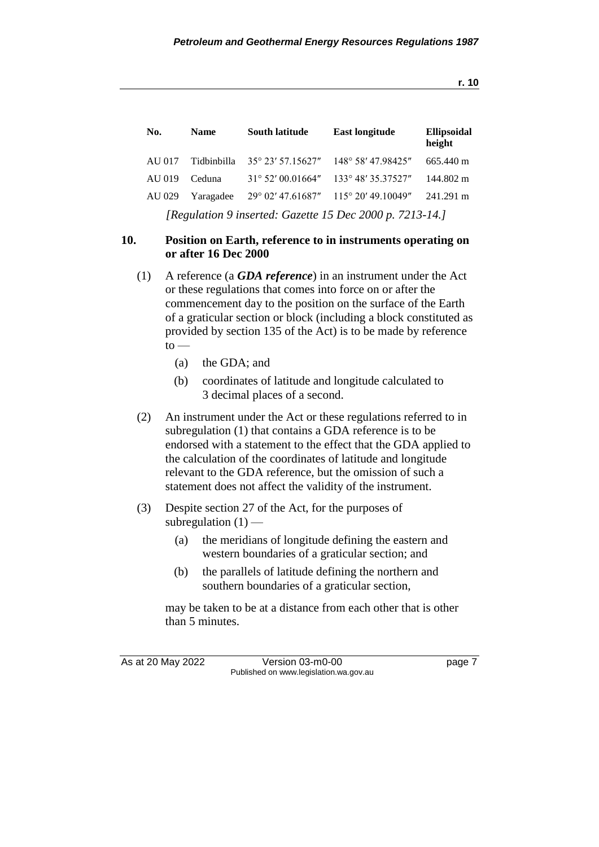| No.                                                      | <b>Name</b> | <b>South latitude</b>      | <b>East longitude</b>                         | Ellipsoidal<br>height |
|----------------------------------------------------------|-------------|----------------------------|-----------------------------------------------|-----------------------|
| AU 017                                                   | Tidbinbilla |                            | 35° 23′ 57.15627″ 148° 58′ 47.98425″          | 665.440 m             |
| AU 019                                                   | Ceduna      | $31^{\circ}$ 52' 00.01664" | 133° 48′ 35.37527″                            | 144.802 m             |
| AU 029                                                   | Yaragadee   |                            | $29^{\circ}$ 02' 47.61687" 115° 20' 49.10049" | 241.291 m             |
| [Regulation 9 inserted: Gazette 15 Dec 2000 p. 7213-14.] |             |                            |                                               |                       |

### **10. Position on Earth, reference to in instruments operating on or after 16 Dec 2000**

- (1) A reference (a *GDA reference*) in an instrument under the Act or these regulations that comes into force on or after the commencement day to the position on the surface of the Earth of a graticular section or block (including a block constituted as provided by section 135 of the Act) is to be made by reference  $to$ 
	- (a) the GDA; and
	- (b) coordinates of latitude and longitude calculated to 3 decimal places of a second.
- (2) An instrument under the Act or these regulations referred to in subregulation (1) that contains a GDA reference is to be endorsed with a statement to the effect that the GDA applied to the calculation of the coordinates of latitude and longitude relevant to the GDA reference, but the omission of such a statement does not affect the validity of the instrument.
- (3) Despite section 27 of the Act, for the purposes of subregulation  $(1)$  —
	- (a) the meridians of longitude defining the eastern and western boundaries of a graticular section; and
	- (b) the parallels of latitude defining the northern and southern boundaries of a graticular section,

may be taken to be at a distance from each other that is other than 5 minutes.

As at 20 May 2022 Version 03-m0-00 Page 7 Published on www.legislation.wa.gov.au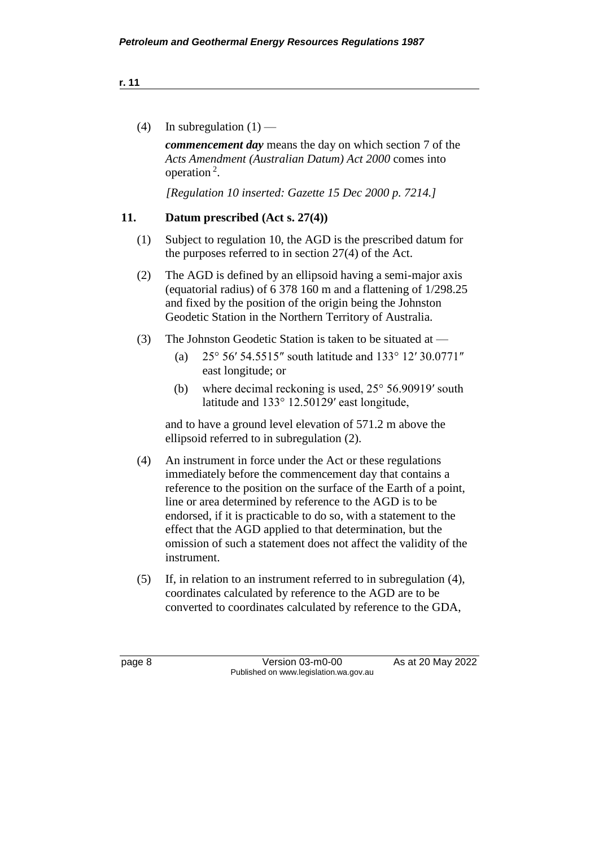| ٠ | ×. | ×. |  |
|---|----|----|--|

(4) In subregulation  $(1)$  —

*commencement day* means the day on which section 7 of the *Acts Amendment (Australian Datum) Act 2000* comes into operation<sup>2</sup>.

*[Regulation 10 inserted: Gazette 15 Dec 2000 p. 7214.]*

### **11. Datum prescribed (Act s. 27(4))**

- (1) Subject to regulation 10, the AGD is the prescribed datum for the purposes referred to in section 27(4) of the Act.
- (2) The AGD is defined by an ellipsoid having a semi-major axis (equatorial radius) of 6 378 160 m and a flattening of 1/298.25 and fixed by the position of the origin being the Johnston Geodetic Station in the Northern Territory of Australia.
- (3) The Johnston Geodetic Station is taken to be situated at
	- (a) 25° 56′ 54.5515″ south latitude and 133° 12′ 30.0771″ east longitude; or
	- (b) where decimal reckoning is used, 25° 56.90919′ south latitude and 133° 12.50129′ east longitude,

and to have a ground level elevation of 571.2 m above the ellipsoid referred to in subregulation (2).

- (4) An instrument in force under the Act or these regulations immediately before the commencement day that contains a reference to the position on the surface of the Earth of a point, line or area determined by reference to the AGD is to be endorsed, if it is practicable to do so, with a statement to the effect that the AGD applied to that determination, but the omission of such a statement does not affect the validity of the instrument.
- (5) If, in relation to an instrument referred to in subregulation (4), coordinates calculated by reference to the AGD are to be converted to coordinates calculated by reference to the GDA,

page 8 Version 03-m0-00 As at 20 May 2022 Published on www.legislation.wa.gov.au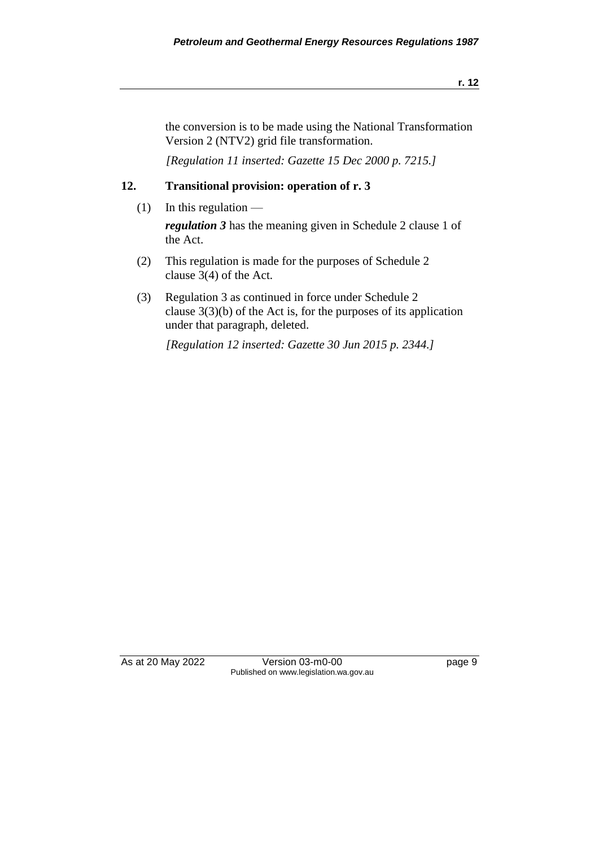the conversion is to be made using the National Transformation Version 2 (NTV2) grid file transformation.

*[Regulation 11 inserted: Gazette 15 Dec 2000 p. 7215.]*

#### **12. Transitional provision: operation of r. 3**

(1) In this regulation  $-$ 

*regulation 3* has the meaning given in Schedule 2 clause 1 of the Act.

- (2) This regulation is made for the purposes of Schedule 2 clause 3(4) of the Act.
- (3) Regulation 3 as continued in force under Schedule 2 clause 3(3)(b) of the Act is, for the purposes of its application under that paragraph, deleted.

*[Regulation 12 inserted: Gazette 30 Jun 2015 p. 2344.]*

As at 20 May 2022 Version 03-m0-00 page 9 Published on www.legislation.wa.gov.au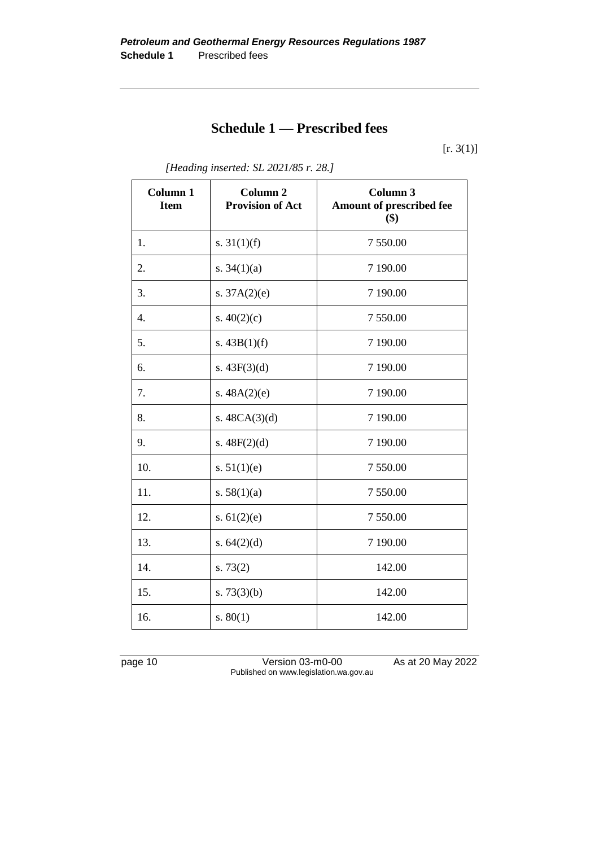# **Schedule 1 — Prescribed fees**

 $[r. 3(1)]$ 

| Column 1<br><b>Item</b> | Column <sub>2</sub><br><b>Provision of Act</b> | Column 3<br>Amount of prescribed fee<br>\$) |
|-------------------------|------------------------------------------------|---------------------------------------------|
| 1.                      | s. $31(1)(f)$                                  | 7 550.00                                    |
| 2.                      | s. $34(1)(a)$                                  | 7 190.00                                    |
| 3.                      | s. $37A(2)(e)$                                 | 7 190.00                                    |
| 4.                      | s. $40(2)(c)$                                  | 7 550.00                                    |
| 5.                      | s. $43B(1)(f)$                                 | 7 190.00                                    |
| 6.                      | s. $43F(3)(d)$                                 | 7 190.00                                    |
| 7.                      | s. $48A(2)(e)$                                 | 7 190.00                                    |
| 8.                      | s. $48CA(3)(d)$                                | 7 190.00                                    |
| 9.                      | s. $48F(2)(d)$                                 | 7 190.00                                    |
| 10.                     | s. $51(1)(e)$                                  | 7 550.00                                    |
| 11.                     | s. $58(1)(a)$                                  | 7 550.00                                    |
| 12.                     | s. $61(2)(e)$                                  | 7 550.00                                    |
| 13.                     | s. $64(2)(d)$                                  | 7 190.00                                    |
| 14.                     | s. $73(2)$                                     | 142.00                                      |
| 15.                     | s. $73(3)(b)$                                  | 142.00                                      |
| 16.                     | s. 80(1)                                       | 142.00                                      |

*[Heading inserted: SL 2021/85 r. 28.]*

page 10 Version 03-m0-00 As at 20 May 2022 Published on www.legislation.wa.gov.au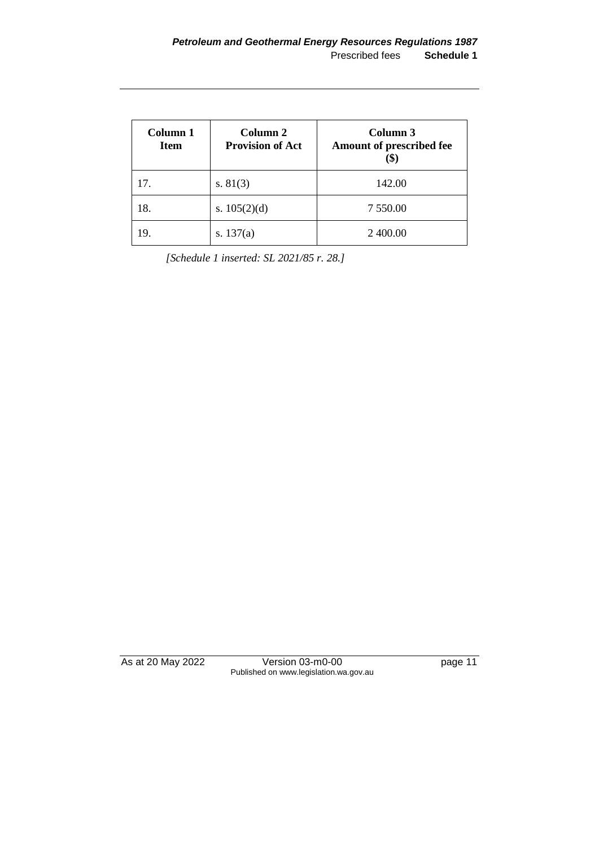| Column 1<br><b>Item</b> | Column 2<br><b>Provision of Act</b> | Column 3<br>Amount of prescribed fee |
|-------------------------|-------------------------------------|--------------------------------------|
| 17.                     | s. $81(3)$                          | 142.00                               |
| 18.                     | s. $105(2)(d)$                      | 7 550.00                             |
| 19.                     | s. $137(a)$                         | 2 400.00                             |

*[Schedule 1 inserted: SL 2021/85 r. 28.]*

As at 20 May 2022 Version 03-m0-00 page 11 Published on www.legislation.wa.gov.au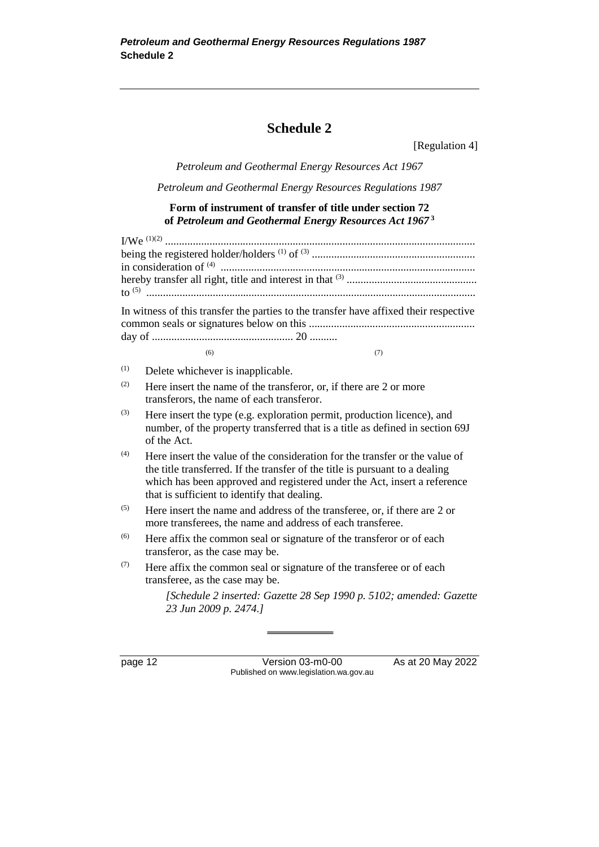# **Schedule 2**

[Regulation 4]

*Petroleum and Geothermal Energy Resources Act 1967*

*Petroleum and Geothermal Energy Resources Regulations 1987*

#### **Form of instrument of transfer of title under section 72 of** *Petroleum and Geothermal Energy Resources Act 1967* **<sup>3</sup>**

|     | In witness of this transfer the parties to the transfer have affixed their respective                                                                                                                                                                                                   |
|-----|-----------------------------------------------------------------------------------------------------------------------------------------------------------------------------------------------------------------------------------------------------------------------------------------|
|     |                                                                                                                                                                                                                                                                                         |
|     | (7)<br>(6)                                                                                                                                                                                                                                                                              |
| (1) | Delete whichever is inapplicable.                                                                                                                                                                                                                                                       |
| (2) | Here insert the name of the transferor, or, if there are 2 or more<br>transferors, the name of each transferor.                                                                                                                                                                         |
| (3) | Here insert the type (e.g. exploration permit, production licence), and<br>number, of the property transferred that is a title as defined in section 69J<br>of the Act.                                                                                                                 |
| (4) | Here insert the value of the consideration for the transfer or the value of<br>the title transferred. If the transfer of the title is pursuant to a dealing<br>which has been approved and registered under the Act, insert a reference<br>that is sufficient to identify that dealing. |
| (5) | Here insert the name and address of the transferee, or, if there are 2 or<br>more transferees, the name and address of each transferee.                                                                                                                                                 |
| (6) | Here affix the common seal or signature of the transferor or of each<br>transferor, as the case may be.                                                                                                                                                                                 |
| (7) | Here affix the common seal or signature of the transferee or of each<br>transferee, as the case may be.                                                                                                                                                                                 |
|     | [Schedule 2 inserted: Gazette 28 Sep 1990 p. 5102; amended: Gazette<br>23 Jun 2009 p. 2474.]                                                                                                                                                                                            |

page 12 Version 03-m0-00 As at 20 May 2022 Published on www.legislation.wa.gov.au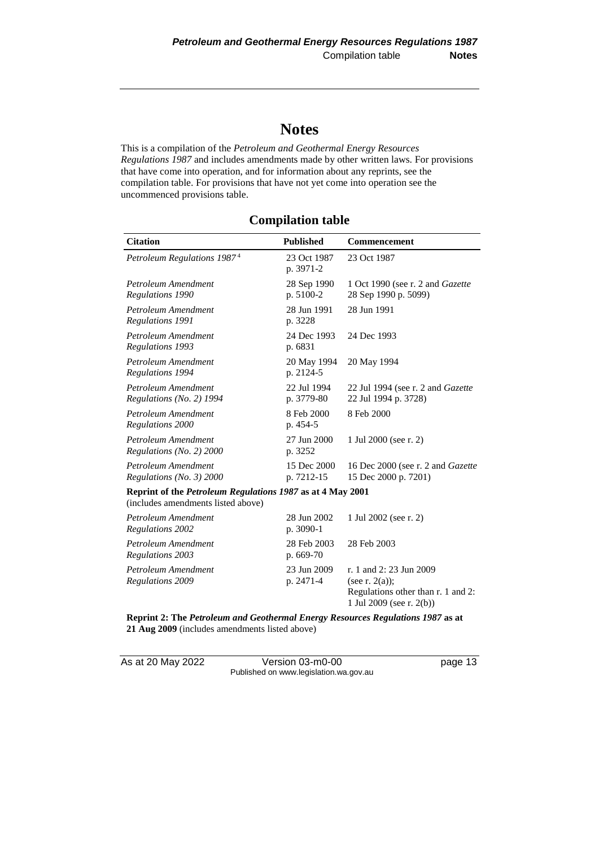# **Notes**

This is a compilation of the *Petroleum and Geothermal Energy Resources Regulations 1987* and includes amendments made by other written laws. For provisions that have come into operation, and for information about any reprints, see the compilation table. For provisions that have not yet come into operation see the uncommenced provisions table.

## **Compilation table**

| <b>Citation</b>                                                                                         | <b>Published</b>          | <b>Commencement</b>                                                                |
|---------------------------------------------------------------------------------------------------------|---------------------------|------------------------------------------------------------------------------------|
| Petroleum Regulations 1987 <sup>4</sup>                                                                 | 23 Oct 1987<br>p. 3971-2  | 23 Oct 1987                                                                        |
| Petroleum Amendment<br>Regulations 1990                                                                 | 28 Sep 1990<br>p. 5100-2  | 1 Oct 1990 (see r. 2 and <i>Gazette</i><br>28 Sep 1990 p. 5099)                    |
| Petroleum Amendment<br>Regulations 1991                                                                 | 28 Jun 1991<br>p. 3228    | 28 Jun 1991                                                                        |
| Petroleum Amendment<br>Regulations 1993                                                                 | 24 Dec 1993<br>p. 6831    | 24 Dec 1993                                                                        |
| Petroleum Amendment<br>Regulations 1994                                                                 | 20 May 1994<br>p. 2124-5  | 20 May 1994                                                                        |
| Petroleum Amendment<br>Regulations (No. 2) 1994                                                         | 22 Jul 1994<br>p. 3779-80 | 22 Jul 1994 (see r. 2 and Gazette<br>22 Jul 1994 p. 3728)                          |
| Petroleum Amendment<br>Regulations 2000                                                                 | 8 Feb 2000<br>p. 454-5    | 8 Feb 2000                                                                         |
| Petroleum Amendment<br>Regulations (No. 2) 2000                                                         | 27 Jun 2000<br>p. 3252    | 1 Jul 2000 (see r. 2)                                                              |
| Petroleum Amendment<br>Regulations (No. $3)$ ) 2000                                                     | 15 Dec 2000<br>p. 7212-15 | 16 Dec 2000 (see r. 2 and <i>Gazette</i><br>15 Dec 2000 p. 7201)                   |
| Reprint of the <i>Petroleum Regulations 1987</i> as at 4 May 2001<br>(includes amendments listed above) |                           |                                                                                    |
| Petroleum Amendment<br>Regulations 2002                                                                 | 28 Jun 2002<br>p. 3090-1  | 1 Jul 2002 (see r. 2)                                                              |
| Petroleum Amendment<br>Regulations 2003                                                                 | 28 Feb 2003<br>p. 669-70  | 28 Feb 2003                                                                        |
| Petroleum Amendment<br><b>Regulations 2009</b>                                                          | 23 Jun 2009<br>p. 2471-4  | r. 1 and 2: 23 Jun 2009<br>(see r. $2(a)$ );<br>Regulations other than r. 1 and 2: |

**Reprint 2: The** *Petroleum and Geothermal Energy Resources Regulations 1987* **as at 21 Aug 2009** (includes amendments listed above)

As at 20 May 2022 Version 03-m0-00 Page 13 Published on www.legislation.wa.gov.au

1 Jul 2009 (see r. 2(b))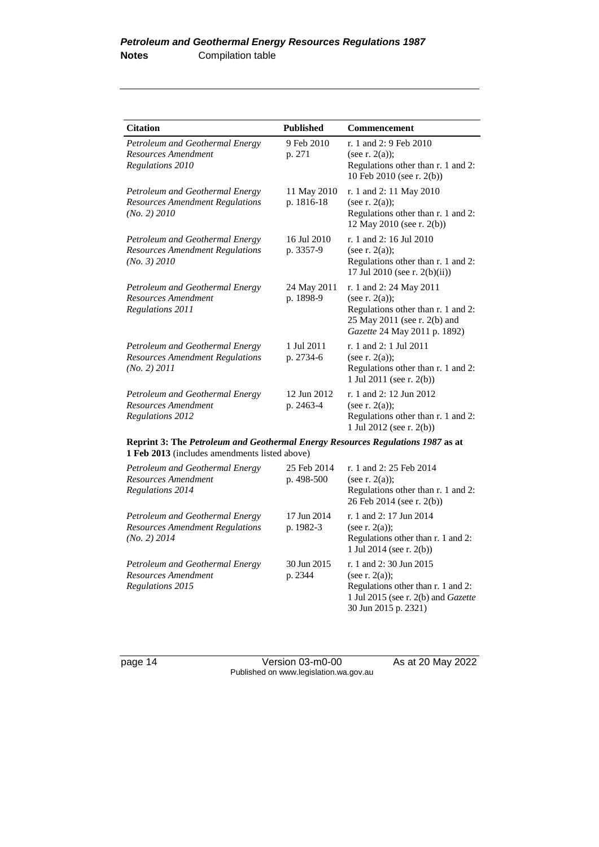| <b>Citation</b>                                                                           | <b>Published</b>          | <b>Commencement</b>                                                                                                                                       |
|-------------------------------------------------------------------------------------------|---------------------------|-----------------------------------------------------------------------------------------------------------------------------------------------------------|
| Petroleum and Geothermal Energy<br>Resources Amendment<br>Regulations 2010                | 9 Feb 2010<br>p. 271      | r. 1 and 2: 9 Feb 2010<br>(see r. $2(a)$ );<br>Regulations other than r. 1 and 2:<br>10 Feb 2010 (see r. 2(b))                                            |
| Petroleum and Geothermal Energy<br><b>Resources Amendment Regulations</b><br>(No. 2) 2010 | 11 May 2010<br>p. 1816-18 | r. 1 and 2: 11 May 2010<br>(see r. $2(a)$ );<br>Regulations other than r. 1 and 2:<br>12 May 2010 (see r. 2(b))                                           |
| Petroleum and Geothermal Energy<br><b>Resources Amendment Regulations</b><br>(No. 3) 2010 | 16 Jul 2010<br>p. 3357-9  | r. 1 and 2: 16 Jul 2010<br>(see r. $2(a)$ );<br>Regulations other than r. 1 and 2:<br>17 Jul 2010 (see r. 2(b)(ii))                                       |
| Petroleum and Geothermal Energy<br>Resources Amendment<br>Regulations 2011                | 24 May 2011<br>p. 1898-9  | r. 1 and 2: 24 May 2011<br>(see r. $2(a)$ );<br>Regulations other than r. 1 and 2:<br>25 May 2011 (see r. 2(b) and<br><i>Gazette</i> 24 May 2011 p. 1892) |
| Petroleum and Geothermal Energy<br><b>Resources Amendment Regulations</b><br>(No. 2) 2011 | 1 Jul 2011<br>p. 2734-6   | r. 1 and 2: 1 Jul 2011<br>(see r. $2(a)$ );<br>Regulations other than r. 1 and 2:<br>1 Jul 2011 (see r. $2(b)$ )                                          |
| Petroleum and Geothermal Energy<br>Resources Amendment<br>Regulations 2012                | 12 Jun 2012<br>p. 2463-4  | r. 1 and 2: 12 Jun 2012<br>(see r. $2(a)$ );<br>Regulations other than r. 1 and 2:<br>1 Jul 2012 (see r. 2(b))                                            |

**Reprint 3: The** *Petroleum and Geothermal Energy Resources Regulations 1987* **as at 1 Feb 2013** (includes amendments listed above)

| Petroleum and Geothermal Energy<br>Resources Amendment<br>Regulations 2014                | 25 Feb 2014<br>p. $498-500$ | r. 1 and 2: 25 Feb 2014<br>(see r. $2(a)$ );<br>Regulations other than r. 1 and 2:<br>26 Feb 2014 (see r. 2(b))                                              |
|-------------------------------------------------------------------------------------------|-----------------------------|--------------------------------------------------------------------------------------------------------------------------------------------------------------|
| Petroleum and Geothermal Energy<br><b>Resources Amendment Regulations</b><br>(No. 2) 2014 | 17 Jun 2014<br>p. 1982-3    | r. 1 and 2: 17 Jun 2014<br>(see r. $2(a)$ );<br>Regulations other than r. 1 and 2:<br>1 Jul 2014 (see r. 2(b))                                               |
| Petroleum and Geothermal Energy<br>Resources Amendment<br>Regulations 2015                | 30 Jun 2015<br>p. 2344      | r. 1 and $2: 30$ Jun $2015$<br>(see r. $2(a)$ );<br>Regulations other than r. 1 and 2:<br>1 Jul 2015 (see r. 2(b) and <i>Gazette</i><br>30 Jun 2015 p. 2321) |

page 14 Version 03-m0-00 As at 20 May 2022 Published on www.legislation.wa.gov.au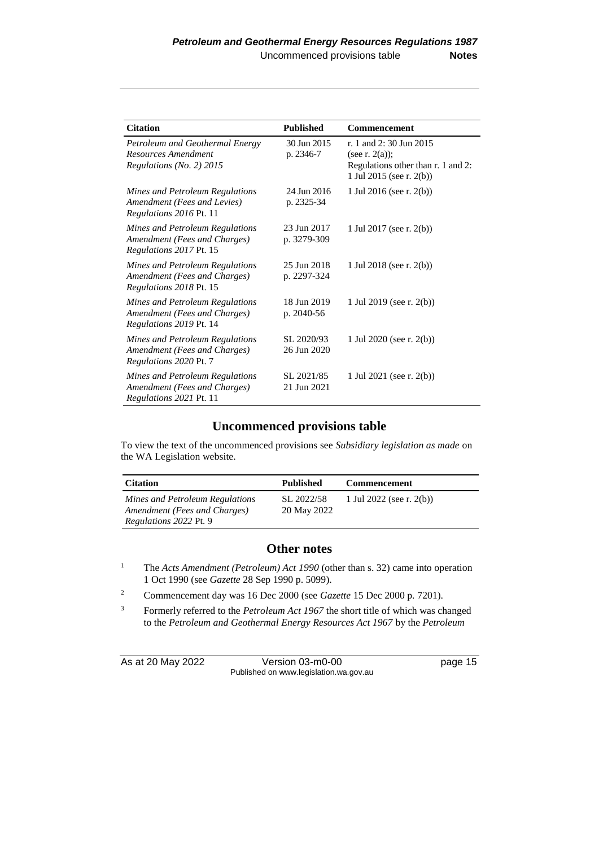| <b>Citation</b>                                                                                   | <b>Published</b>           | <b>Commencement</b>                                                                                           |
|---------------------------------------------------------------------------------------------------|----------------------------|---------------------------------------------------------------------------------------------------------------|
| Petroleum and Geothermal Energy<br>Resources Amendment<br>Regulations (No. 2) 2015                | 30 Jun 2015<br>p. 2346-7   | r. 1 and 2:30 Jun 2015<br>(see r. $2(a)$ );<br>Regulations other than r. 1 and 2:<br>1 Jul 2015 (see r. 2(b)) |
| Mines and Petroleum Regulations<br>Amendment (Fees and Levies)<br>Regulations 2016 Pt. 11         | 24 Jun 2016<br>p. 2325-34  | 1 Jul 2016 (see r. 2(b))                                                                                      |
| Mines and Petroleum Regulations<br>Amendment (Fees and Charges)<br>Regulations 2017 Pt. 15        | 23 Jun 2017<br>p. 3279-309 | 1 Jul 2017 (see r. 2(b))                                                                                      |
| Mines and Petroleum Regulations<br>Amendment (Fees and Charges)<br><i>Regulations 2018 Pt. 15</i> | 25 Jun 2018<br>p. 2297-324 | 1 Jul 2018 (see r. 2(b))                                                                                      |
| Mines and Petroleum Regulations<br>Amendment (Fees and Charges)<br>Regulations 2019 Pt. 14        | 18 Jun 2019<br>p. 2040-56  | 1 Jul 2019 (see r. 2(b))                                                                                      |
| Mines and Petroleum Regulations<br>Amendment (Fees and Charges)<br><i>Regulations 2020 Pt. 7</i>  | SL 2020/93<br>26 Jun 2020  | 1 Jul 2020 (see r. $2(b)$ )                                                                                   |
| Mines and Petroleum Regulations<br>Amendment (Fees and Charges)<br>Regulations 2021 Pt. 11        | SL 2021/85<br>21 Jun 2021  | 1 Jul 2021 (see r. 2(b))                                                                                      |

## **Uncommenced provisions table**

To view the text of the uncommenced provisions see *Subsidiary legislation as made* on the WA Legislation website.

| <b>Citation</b>                                                 | <b>Published</b>          | <b>Commencement</b>      |
|-----------------------------------------------------------------|---------------------------|--------------------------|
| Mines and Petroleum Regulations<br>Amendment (Fees and Charges) | SL 2022/58<br>20 May 2022 | 1 Jul 2022 (see r. 2(b)) |
| <i>Regulations 2022 Pt. 9</i>                                   |                           |                          |

#### **Other notes**

- <sup>1</sup> The *Acts Amendment (Petroleum) Act 1990* (other than s. 32) came into operation 1 Oct 1990 (see *Gazette* 28 Sep 1990 p. 5099).
- <sup>2</sup> Commencement day was 16 Dec 2000 (see *Gazette* 15 Dec 2000 p. 7201).
- <sup>3</sup> Formerly referred to the *Petroleum Act 1967* the short title of which was changed to the *Petroleum and Geothermal Energy Resources Act 1967* by the *Petroleum*

As at 20 May 2022 Version 03-m0-00 page 15 Published on www.legislation.wa.gov.au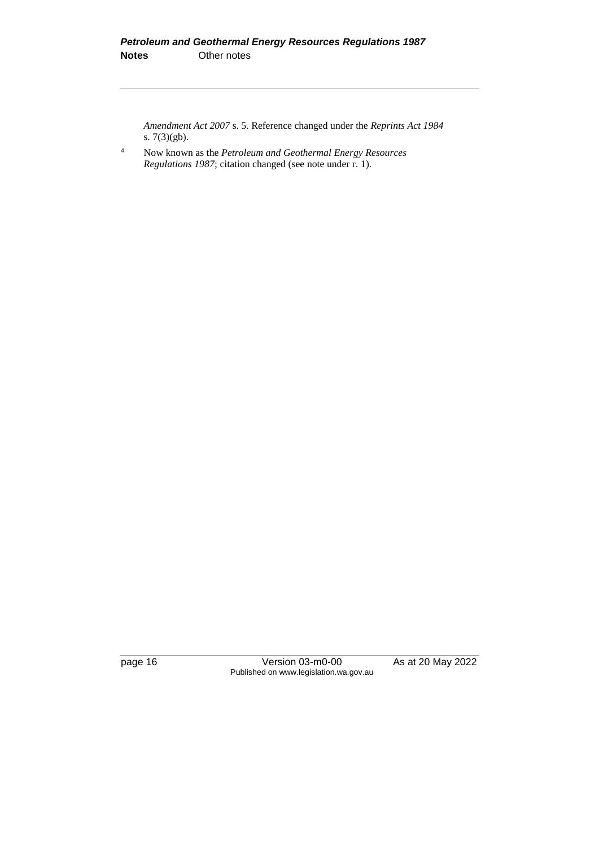*Amendment Act 2007* s. 5. Reference changed under the *Reprints Act 1984* s. 7(3)(gb).

<sup>4</sup> Now known as the *Petroleum and Geothermal Energy Resources Regulations 1987*; citation changed (see note under r. 1).

page 16 Version 03-m0-00 As at 20 May 2022 Published on www.legislation.wa.gov.au